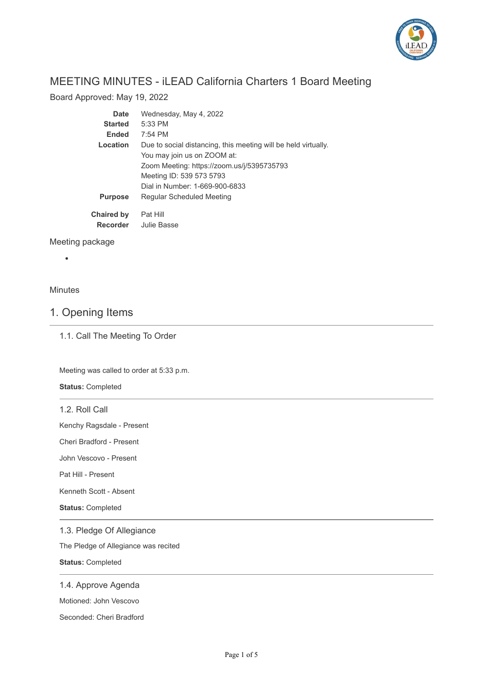

# MEETING MINUTES - iLEAD California Charters 1 Board Meeting

Board Approved: May 19, 2022

| Date              | Wednesday, May 4, 2022                                         |
|-------------------|----------------------------------------------------------------|
| <b>Started</b>    | $5:33$ PM                                                      |
| <b>Ended</b>      | $7:54$ PM                                                      |
| Location          | Due to social distancing, this meeting will be held virtually. |
|                   | You may join us on ZOOM at:                                    |
|                   | Zoom Meeting: https://zoom.us/j/5395735793                     |
|                   | Meeting ID: 539 573 5793                                       |
|                   | Dial in Number: 1-669-900-6833                                 |
| <b>Purpose</b>    | Regular Scheduled Meeting                                      |
| <b>Chaired by</b> | Pat Hill                                                       |
| <b>Recorder</b>   | Julie Basse                                                    |

Meeting package

### Minutes

 $\bullet$ 

## 1. Opening Items

1.1. Call The Meeting To Order

Meeting was called to order at 5:33 p.m.

**Status:** Completed

1.2. Roll Call

Kenchy Ragsdale - Present

Cheri Bradford - Present

John Vescovo - Present

Pat Hill - Present

Kenneth Scott - Absent

**Status:** Completed

#### 1.3. Pledge Of Allegiance

The Pledge of Allegiance was recited

**Status:** Completed

#### 1.4. Approve Agenda

Motioned: John Vescovo

Seconded: Cheri Bradford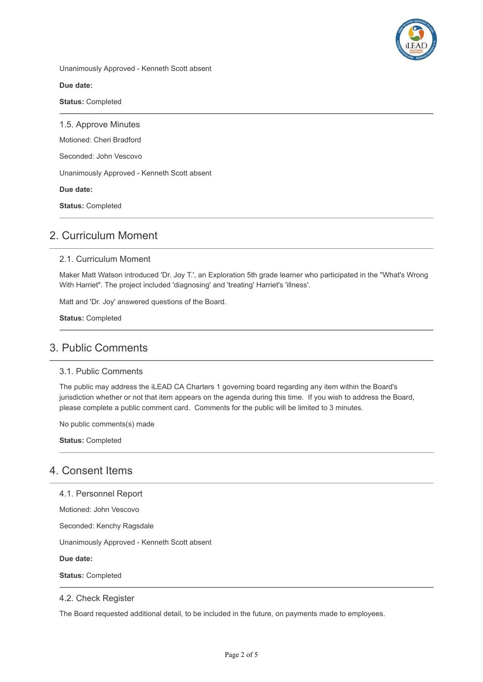

Unanimously Approved - Kenneth Scott absent

**Due date:**

**Status:** Completed

1.5. Approve Minutes Motioned: Cheri Bradford Seconded: John Vescovo Unanimously Approved - Kenneth Scott absent **Due date: Status:** Completed

# 2. Curriculum Moment

#### 2.1. Curriculum Moment

Maker Matt Watson introduced 'Dr. Joy T.', an Exploration 5th grade learner who participated in the "What's Wrong With Harriet". The project included 'diagnosing' and 'treating' Harriet's 'illness'.

Matt and 'Dr. Joy' answered questions of the Board.

**Status:** Completed

### 3. Public Comments

#### 3.1. Public Comments

The public may address the iLEAD CA Charters 1 governing board regarding any item within the Board's jurisdiction whether or not that item appears on the agenda during this time. If you wish to address the Board, please complete a public comment card. Comments for the public will be limited to 3 minutes.

No public comments(s) made

**Status:** Completed

### 4. Consent Items

4.1. Personnel Report

Motioned: John Vescovo

Seconded: Kenchy Ragsdale

Unanimously Approved - Kenneth Scott absent

**Due date:**

**Status:** Completed

#### 4.2. Check Register

The Board requested additional detail, to be included in the future, on payments made to employees.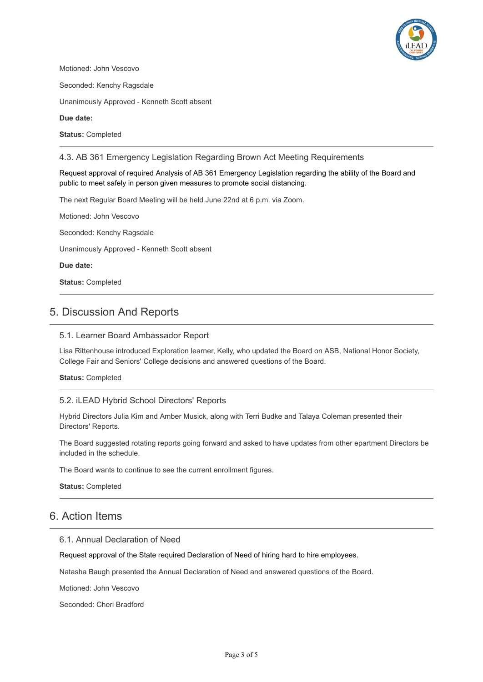

Motioned: John Vescovo

Seconded: Kenchy Ragsdale

Unanimously Approved - Kenneth Scott absent

**Due date:**

**Status:** Completed

4.3. AB 361 Emergency Legislation Regarding Brown Act Meeting Requirements

Request approval of required Analysis of AB 361 Emergency Legislation regarding the ability of the Board and public to meet safely in person given measures to promote social distancing.

The next Regular Board Meeting will be held June 22nd at 6 p.m. via Zoom.

Motioned: John Vescovo Seconded: Kenchy Ragsdale Unanimously Approved - Kenneth Scott absent **Due date:**

**Status:** Completed

## 5. Discussion And Reports

#### 5.1. Learner Board Ambassador Report

Lisa Rittenhouse introduced Exploration learner, Kelly, who updated the Board on ASB, National Honor Society, College Fair and Seniors' College decisions and answered questions of the Board.

**Status:** Completed

#### 5.2. iLEAD Hybrid School Directors' Reports

Hybrid Directors Julia Kim and Amber Musick, along with Terri Budke and Talaya Coleman presented their Directors' Reports.

The Board suggested rotating reports going forward and asked to have updates from other epartment Directors be included in the schedule.

The Board wants to continue to see the current enrollment figures.

**Status:** Completed

### 6. Action Items

#### 6.1. Annual Declaration of Need

Request approval of the State required Declaration of Need of hiring hard to hire employees.

Natasha Baugh presented the Annual Declaration of Need and answered questions of the Board.

Motioned: John Vescovo

Seconded: Cheri Bradford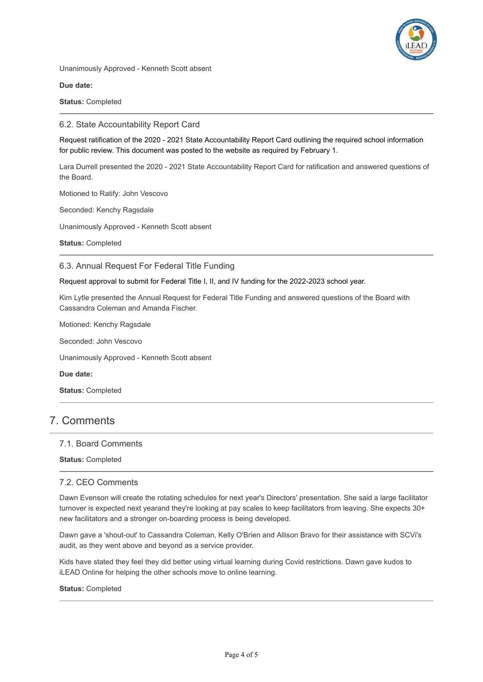

Unanimously Approved - Kenneth Scott absent

**Due date:**

**Status:** Completed

#### 6.2. State Accountability Report Card

Request ratification of the 2020 - 2021 State Accountability Report Card outlining the required school information for public review. This document was posted to the website as required by February 1.

Lara Durrell presented the 2020 - 2021 State Accountability Report Card for ratification and answered questions of the Board.

Motioned to Ratify: John Vescovo

Seconded: Kenchy Ragsdale

Unanimously Approved - Kenneth Scott absent

**Status:** Completed

#### 6.3. Annual Request For Federal Title Funding

Request approval to submit for Federal Title I, II, and IV funding for the 2022-2023 school year.

Kim Lytle presented the Annual Request for Federal Title Funding and answered questions of the Board with Cassandra Coleman and Amanda Fischer.

Motioned: Kenchy Ragsdale

Seconded: John Vescovo

Unanimously Approved - Kenneth Scott absent

**Due date:**

**Status:** Completed

### 7. Comments

#### 7.1. Board Comments

**Status:** Completed

#### 7.2. CEO Comments

Dawn Evenson will create the rotating schedules for next year's Directors' presentation. She said a large facilitator turnover is expected next yearand they're looking at pay scales to keep facilitators from leaving. She expects 30+ new facilitators and a stronger on-boarding process is being developed.

Dawn gave a 'shout-out' to Cassandra Coleman, Kelly O'Brien and Allison Bravo for their assistance with SCVi's audit, as they went above and beyond as a service provider.

Kids have stated they feel they did better using virtual learning during Covid restrictions. Dawn gave kudos to iLEAD Online for helping the other schools move to online learning.

#### **Status:** Completed